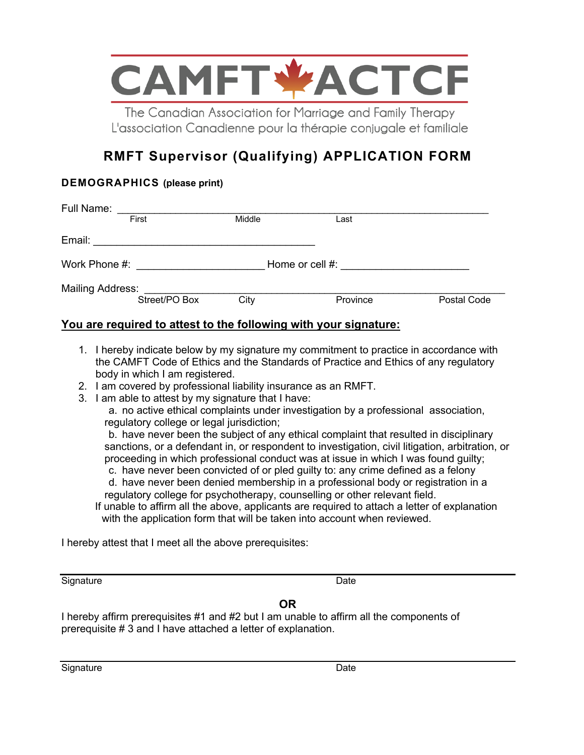

L'association Canadienne pour la thérapie coniugale et familiale

# **RMFT Supervisor (Qualifying) APPLICATION FORM**

## **DEMOGRAPHICS (please print)**

| Full Name:              |               |                 |          |             |
|-------------------------|---------------|-----------------|----------|-------------|
|                         | First         | Middle          | Last     |             |
| Email:                  |               |                 |          |             |
| Work Phone #:           |               | Home or cell #: |          |             |
| <b>Mailing Address:</b> |               |                 |          |             |
|                         | Street/PO Box | City            | Province | Postal Code |

## **You are required to attest to the following with your signature:**

- 1. I hereby indicate below by my signature my commitment to practice in accordance with the CAMFT Code of Ethics and the Standards of Practice and Ethics of any regulatory body in which I am registered.
- 2. I am covered by professional liability insurance as an RMFT.
- 3. I am able to attest by my signature that I have:

a. no active ethical complaints under investigation by a professional association, regulatory college or legal jurisdiction;

b. have never been the subject of any ethical complaint that resulted in disciplinary sanctions, or a defendant in, or respondent to investigation, civil litigation, arbitration, or proceeding in which professional conduct was at issue in which I was found guilty;

- c. have never been convicted of or pled guilty to: any crime defined as a felony
- d. have never been denied membership in a professional body or registration in a regulatory college for psychotherapy, counselling or other relevant field.

If unable to affirm all the above, applicants are required to attach a letter of explanation with the application form that will be taken into account when reviewed.

I hereby attest that I meet all the above prerequisites:

Signature Date

## **OR**

I hereby affirm prerequisites #1 and #2 but I am unable to affirm all the components of prerequisite # 3 and I have attached a letter of explanation.

Signature Date Date Date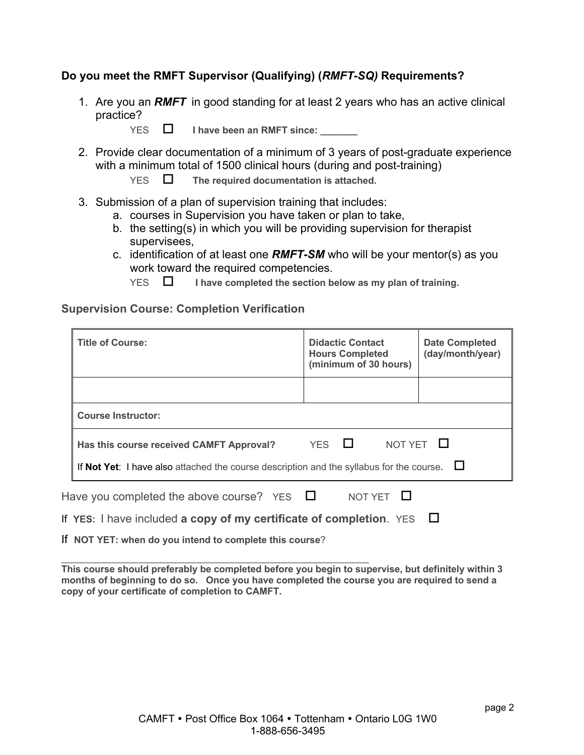## **Do you meet the RMFT Supervisor (Qualifying) (***RMFT-SQ)* **Requirements?**

1. Are you an *RMFT* in good standing for at least 2 years who has an active clinical practice?



- YES  $\Box$  I have been an RMFT since:
- 2. Provide clear documentation of a minimum of 3 years of post-graduate experience with a minimum total of 1500 clinical hours (during and post-training)
	- $YES \tI$  The required documentation is attached.
- 3. Submission of a plan of supervision training that includes:
	- a. courses in Supervision you have taken or plan to take,
	- b. the setting(s) in which you will be providing supervision for therapist supervisees,
	- c. identification of at least one *RMFT-SM* who will be your mentor(s) as you work toward the required competencies.
		- $YES$   $\Box$  I have completed the section below as my plan of training.

**Supervision Course: Completion Verification**

|                                                                                          | <b>Title of Course:</b>                                             | <b>Didactic Contact</b><br><b>Hours Completed</b><br>(minimum of 30 hours) | <b>Date Completed</b><br>(day/month/year) |  |  |  |
|------------------------------------------------------------------------------------------|---------------------------------------------------------------------|----------------------------------------------------------------------------|-------------------------------------------|--|--|--|
|                                                                                          |                                                                     |                                                                            |                                           |  |  |  |
|                                                                                          | <b>Course Instructor:</b>                                           |                                                                            |                                           |  |  |  |
|                                                                                          | Has this course received CAMFT Approval?                            | YES $\Box$<br>NOT YET $\Box$                                               |                                           |  |  |  |
| If Not Yet: I have also attached the course description and the syllabus for the course. |                                                                     |                                                                            |                                           |  |  |  |
| Have you completed the above course? YES $\Box$<br>NOT YET                               |                                                                     |                                                                            |                                           |  |  |  |
|                                                                                          | If YES: I have included a copy of my certificate of completion. YES |                                                                            |                                           |  |  |  |

If **NOT YET: when do you intend to complete this course**?

**This course should preferably be completed before you begin to supervise, but definitely within 3 months of beginning to do so. Once you have completed the course you are required to send a copy of your certificate of completion to CAMFT.**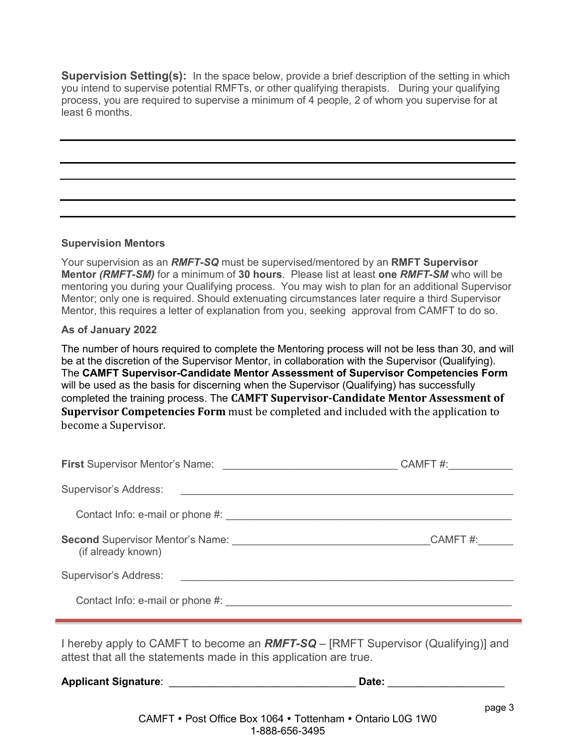**Supervision Setting(s):** In the space below, provide a brief description of the setting in which you intend to supervise potential RMFTs, or other qualifying therapists. During your qualifying process, you are required to supervise a minimum of 4 people, 2 of whom you supervise for at least 6 months.

#### **Supervision Mentors**

Your supervision as an *RMFT-SQ* must be supervised/mentored by an **RMFT Supervisor Mentor** *(RMFT-SM)* for a minimum of **30 hours**. Please list at least **one** *RMFT-SM* who will be mentoring you during your Qualifying process. You may wish to plan for an additional Supervisor Mentor; only one is required. Should extenuating circumstances later require a third Supervisor Mentor, this requires a letter of explanation from you, seeking approval from CAMFT to do so.

#### **As of January 2022**

The number of hours required to complete the Mentoring process will not be less than 30, and will be at the discretion of the Supervisor Mentor, in collaboration with the Supervisor (Qualifying). The **CAMFT Supervisor-Candidate Mentor Assessment of Supervisor Competencies Form** will be used as the basis for discerning when the Supervisor (Qualifying) has successfully completed the training process. The CAMFT Supervisor-Candidate Mentor Assessment of **Supervisor Competencies Form** must be completed and included with the application to become a Supervisor.

| (if already known)                                                                       | CAMFT#: |
|------------------------------------------------------------------------------------------|---------|
|                                                                                          |         |
|                                                                                          |         |
| I hereby apply to CAMFT to become an <b>RMFT-SQ</b> – [RMFT Supervisor (Qualifying)] and |         |

attest that all the statements made in this application are true.

| <b>Applicant Signature:</b><br>Date: |  |
|--------------------------------------|--|
|--------------------------------------|--|

p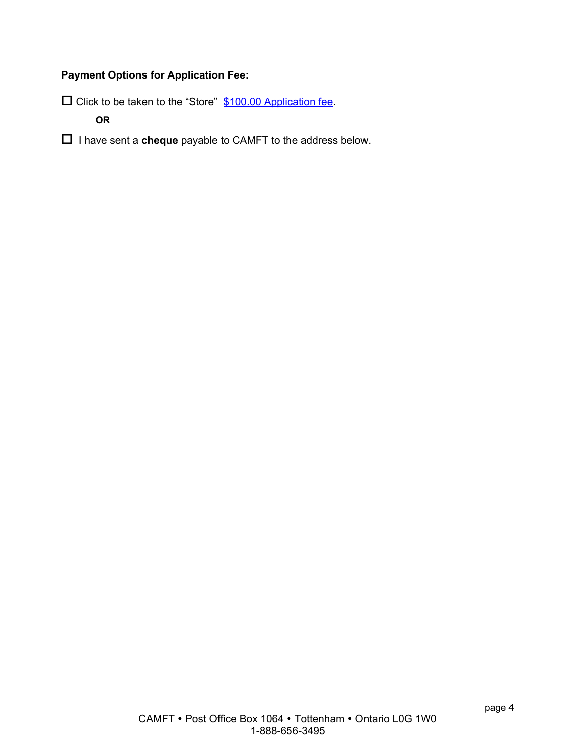## **Payment Options for Application Fee:**

 $\square$  Click to be taken to the "Store"  $$100.00$  Application fee.

**OR**

o I have sent a **cheque** payable to CAMFT to the address below.